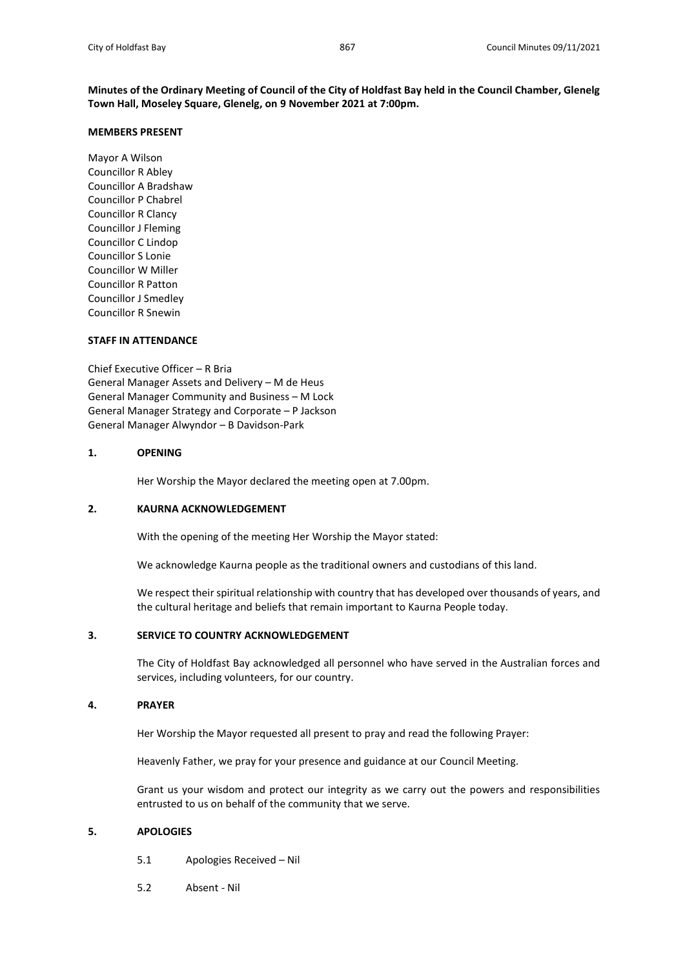**Minutes of the Ordinary Meeting of Council of the City of Holdfast Bay held in the Council Chamber, Glenelg Town Hall, Moseley Square, Glenelg, on 9 November 2021 at 7:00pm.**

### **MEMBERS PRESENT**

Mayor A Wilson Councillor R Abley Councillor A Bradshaw Councillor P Chabrel Councillor R Clancy Councillor J Fleming Councillor C Lindop Councillor S Lonie Councillor W Miller Councillor R Patton Councillor J Smedley Councillor R Snewin

# **STAFF IN ATTENDANCE**

Chief Executive Officer – R Bria General Manager Assets and Delivery – M de Heus General Manager Community and Business – M Lock General Manager Strategy and Corporate – P Jackson General Manager Alwyndor – B Davidson-Park

# **1. OPENING**

Her Worship the Mayor declared the meeting open at 7.00pm.

# **2. KAURNA ACKNOWLEDGEMENT**

With the opening of the meeting Her Worship the Mayor stated:

We acknowledge Kaurna people as the traditional owners and custodians of this land.

We respect their spiritual relationship with country that has developed over thousands of years, and the cultural heritage and beliefs that remain important to Kaurna People today.

# **3. SERVICE TO COUNTRY ACKNOWLEDGEMENT**

The City of Holdfast Bay acknowledged all personnel who have served in the Australian forces and services, including volunteers, for our country.

### **4. PRAYER**

Her Worship the Mayor requested all present to pray and read the following Prayer:

Heavenly Father, we pray for your presence and guidance at our Council Meeting.

Grant us your wisdom and protect our integrity as we carry out the powers and responsibilities entrusted to us on behalf of the community that we serve.

## **5. APOLOGIES**

- 5.1 Apologies Received Nil
- 5.2 Absent Nil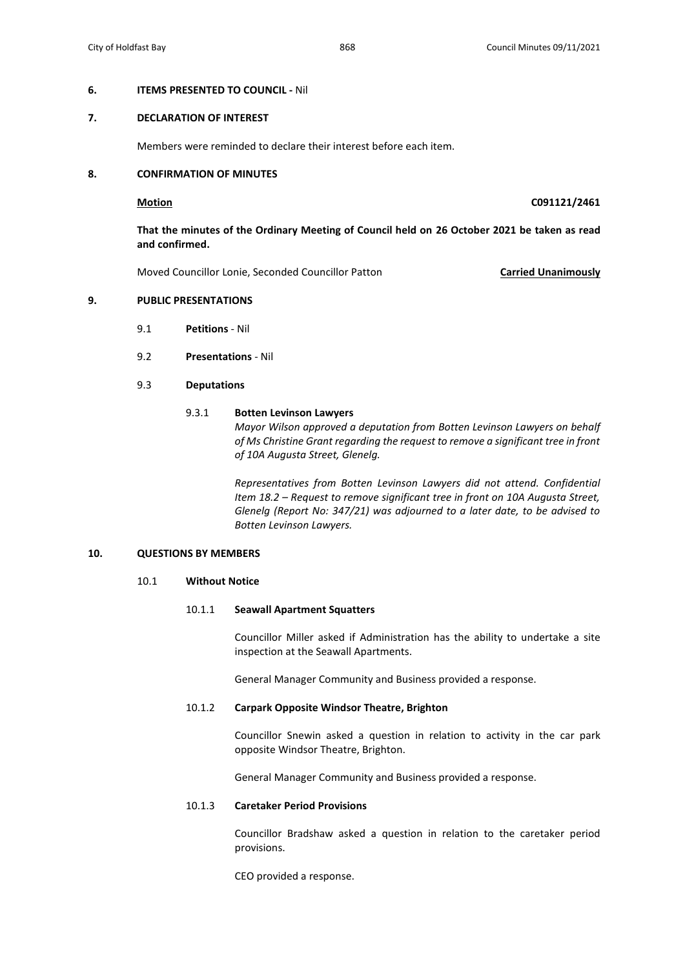# **7. DECLARATION OF INTEREST**

Members were reminded to declare their interest before each item.

# **8. CONFIRMATION OF MINUTES**

# **Motion C091121/2461**

**That the minutes of the Ordinary Meeting of Council held on 26 October 2021 be taken as read and confirmed.**

Moved Councillor Lonie, Seconded Councillor Patton **Carried Unanimously**

## **9. PUBLIC PRESENTATIONS**

- 9.1 **Petitions** Nil
- 9.2 **Presentations** Nil

## 9.3 **Deputations**

### 9.3.1 **Botten Levinson Lawyers**

*Mayor Wilson approved a deputation from Botten Levinson Lawyers on behalf of Ms Christine Grant regarding the request to remove a significant tree in front of 10A Augusta Street, Glenelg.*

*Representatives from Botten Levinson Lawyers did not attend. Confidential Item 18.2 – Request to remove significant tree in front on 10A Augusta Street, Glenelg (Report No: 347/21) was adjourned to a later date, to be advised to Botten Levinson Lawyers.*

# **10. QUESTIONS BY MEMBERS**

# 10.1 **Without Notice**

### 10.1.1 **Seawall Apartment Squatters**

Councillor Miller asked if Administration has the ability to undertake a site inspection at the Seawall Apartments.

General Manager Community and Business provided a response.

### 10.1.2 **Carpark Opposite Windsor Theatre, Brighton**

Councillor Snewin asked a question in relation to activity in the car park opposite Windsor Theatre, Brighton.

General Manager Community and Business provided a response.

## 10.1.3 **Caretaker Period Provisions**

Councillor Bradshaw asked a question in relation to the caretaker period provisions.

CEO provided a response.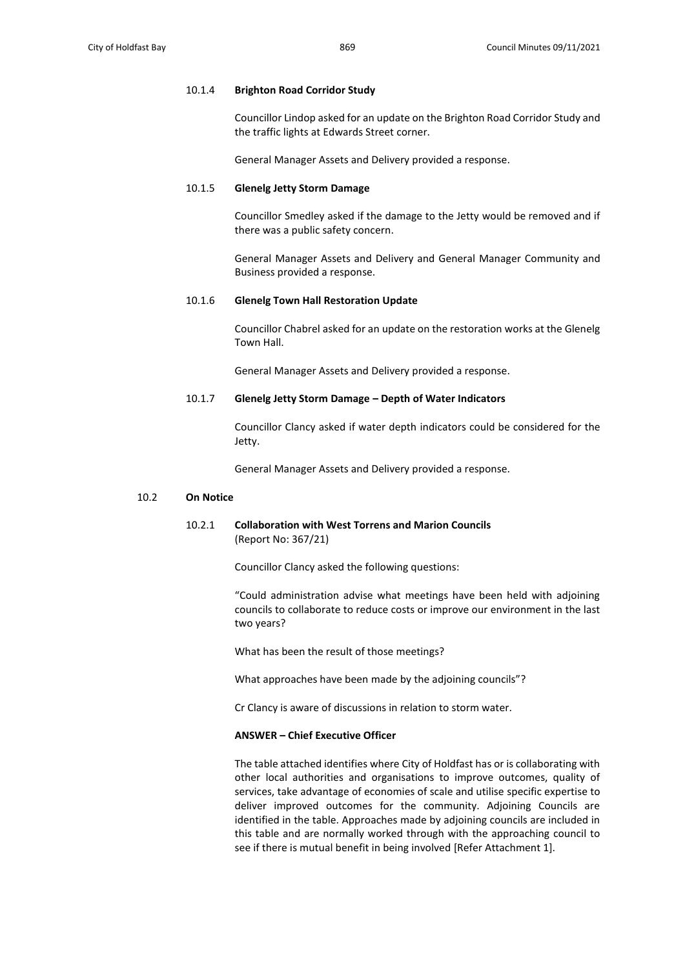### 10.1.4 **Brighton Road Corridor Study**

Councillor Lindop asked for an update on the Brighton Road Corridor Study and the traffic lights at Edwards Street corner.

General Manager Assets and Delivery provided a response.

# 10.1.5 **Glenelg Jetty Storm Damage**

Councillor Smedley asked if the damage to the Jetty would be removed and if there was a public safety concern.

General Manager Assets and Delivery and General Manager Community and Business provided a response.

# 10.1.6 **Glenelg Town Hall Restoration Update**

Councillor Chabrel asked for an update on the restoration works at the Glenelg Town Hall.

General Manager Assets and Delivery provided a response.

# 10.1.7 **Glenelg Jetty Storm Damage – Depth of Water Indicators**

Councillor Clancy asked if water depth indicators could be considered for the Jetty.

General Manager Assets and Delivery provided a response.

### 10.2 **On Notice**

# 10.2.1 **Collaboration with West Torrens and Marion Councils**  (Report No: 367/21)

Councillor Clancy asked the following questions:

"Could administration advise what meetings have been held with adjoining councils to collaborate to reduce costs or improve our environment in the last two years?

What has been the result of those meetings?

What approaches have been made by the adjoining councils"?

Cr Clancy is aware of discussions in relation to storm water.

# **ANSWER – Chief Executive Officer**

The table attached identifies where City of Holdfast has or is collaborating with other local authorities and organisations to improve outcomes, quality of services, take advantage of economies of scale and utilise specific expertise to deliver improved outcomes for the community. Adjoining Councils are identified in the table. Approaches made by adjoining councils are included in this table and are normally worked through with the approaching council to see if there is mutual benefit in being involved [Refer Attachment 1].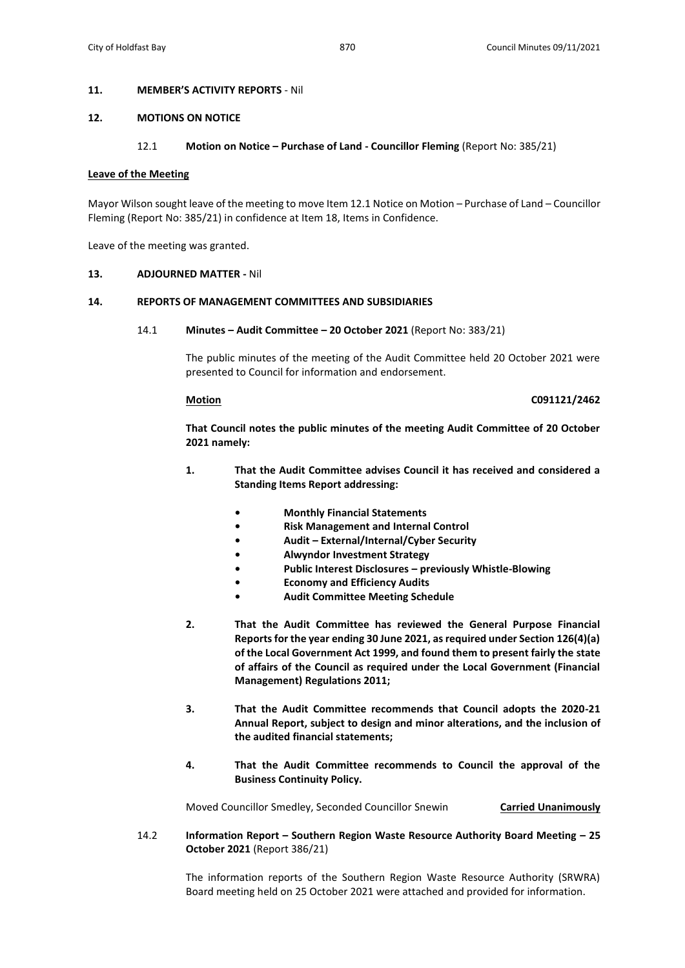### **11. MEMBER'S ACTIVITY REPORTS** - Nil

# **12. MOTIONS ON NOTICE**

### 12.1 **Motion on Notice – Purchase of Land - Councillor Fleming** (Report No: 385/21)

### **Leave of the Meeting**

Mayor Wilson sought leave of the meeting to move Item 12.1 Notice on Motion – Purchase of Land – Councillor Fleming (Report No: 385/21) in confidence at Item 18, Items in Confidence.

Leave of the meeting was granted.

### **13. ADJOURNED MATTER -** Nil

### **14. REPORTS OF MANAGEMENT COMMITTEES AND SUBSIDIARIES**

14.1 **Minutes – Audit Committee – 20 October 2021** (Report No: 383/21)

The public minutes of the meeting of the Audit Committee held 20 October 2021 were presented to Council for information and endorsement.

### **Motion C091121/2462**

**That Council notes the public minutes of the meeting Audit Committee of 20 October 2021 namely:**

- **1. That the Audit Committee advises Council it has received and considered a Standing Items Report addressing:**
	- **• Monthly Financial Statements**
	- **• Risk Management and Internal Control**
	- **• Audit – External/Internal/Cyber Security**
	- **• Alwyndor Investment Strategy**
	- **• Public Interest Disclosures – previously Whistle-Blowing**
	- **• Economy and Efficiency Audits**
	- **• Audit Committee Meeting Schedule**
- **2. That the Audit Committee has reviewed the General Purpose Financial Reports for the year ending 30 June 2021, as required under Section 126(4)(a) of the Local Government Act 1999, and found them to present fairly the state of affairs of the Council as required under the Local Government (Financial Management) Regulations 2011;**
- **3. That the Audit Committee recommends that Council adopts the 2020-21 Annual Report, subject to design and minor alterations, and the inclusion of the audited financial statements;**
- **4. That the Audit Committee recommends to Council the approval of the Business Continuity Policy.**

Moved Councillor Smedley, Seconded Councillor Snewin **Carried Unanimously**

14.2 **Information Report – Southern Region Waste Resource Authority Board Meeting – 25 October 2021** (Report 386/21)

> The information reports of the Southern Region Waste Resource Authority (SRWRA) Board meeting held on 25 October 2021 were attached and provided for information.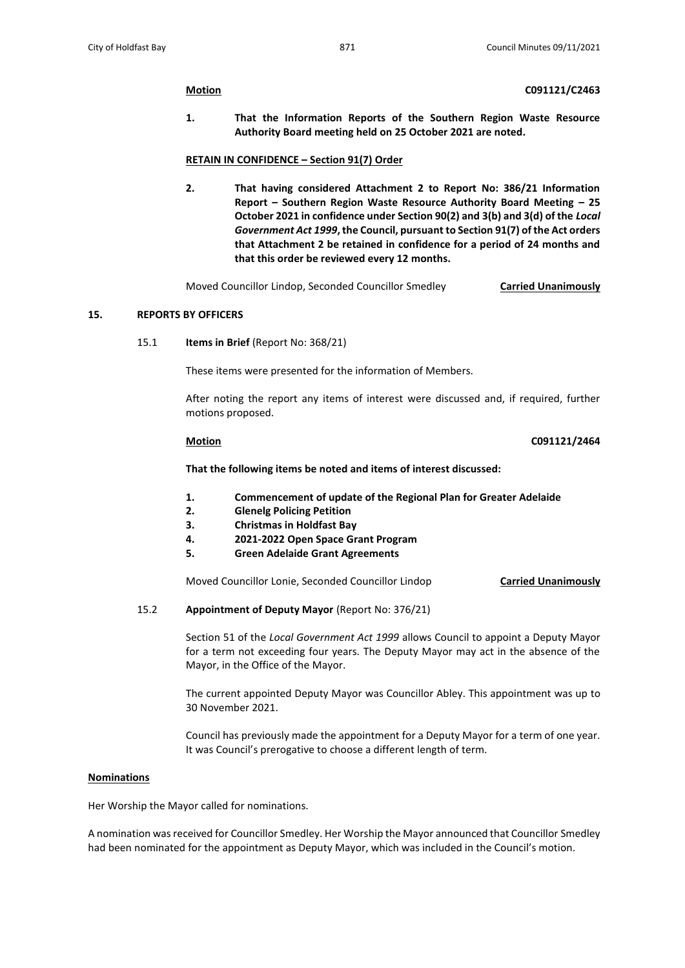**1. That the Information Reports of the Southern Region Waste Resource Authority Board meeting held on 25 October 2021 are noted.**

### **RETAIN IN CONFIDENCE – Section 91(7) Order**

**2. That having considered Attachment 2 to Report No: 386/21 Information Report – Southern Region Waste Resource Authority Board Meeting – 25 October 2021 in confidence under Section 90(2) and 3(b) and 3(d) of the** *Local Government Act 1999***, the Council, pursuant to Section 91(7) of the Act orders that Attachment 2 be retained in confidence for a period of 24 months and that this order be reviewed every 12 months.**

Moved Councillor Lindop, Seconded Councillor Smedley **Carried Unanimously**

# **15. REPORTS BY OFFICERS**

15.1 **Items in Brief** (Report No: 368/21)

These items were presented for the information of Members.

After noting the report any items of interest were discussed and, if required, further motions proposed.

### **Motion C091121/2464**

**That the following items be noted and items of interest discussed:** 

- **1. Commencement of update of the Regional Plan for Greater Adelaide**
- **2. Glenelg Policing Petition**
- **3. Christmas in Holdfast Bay**
- **4. 2021-2022 Open Space Grant Program**
- **5. Green Adelaide Grant Agreements**

Moved Councillor Lonie, Seconded Councillor Lindop **Carried Unanimously**

## 15.2 **Appointment of Deputy Mayor** (Report No: 376/21)

Section 51 of the *Local Government Act 1999* allows Council to appoint a Deputy Mayor for a term not exceeding four years. The Deputy Mayor may act in the absence of the Mayor, in the Office of the Mayor.

The current appointed Deputy Mayor was Councillor Abley. This appointment was up to 30 November 2021.

Council has previously made the appointment for a Deputy Mayor for a term of one year. It was Council's prerogative to choose a different length of term.

## **Nominations**

Her Worship the Mayor called for nominations.

A nomination was received for Councillor Smedley. Her Worship the Mayor announced that Councillor Smedley had been nominated for the appointment as Deputy Mayor, which was included in the Council's motion.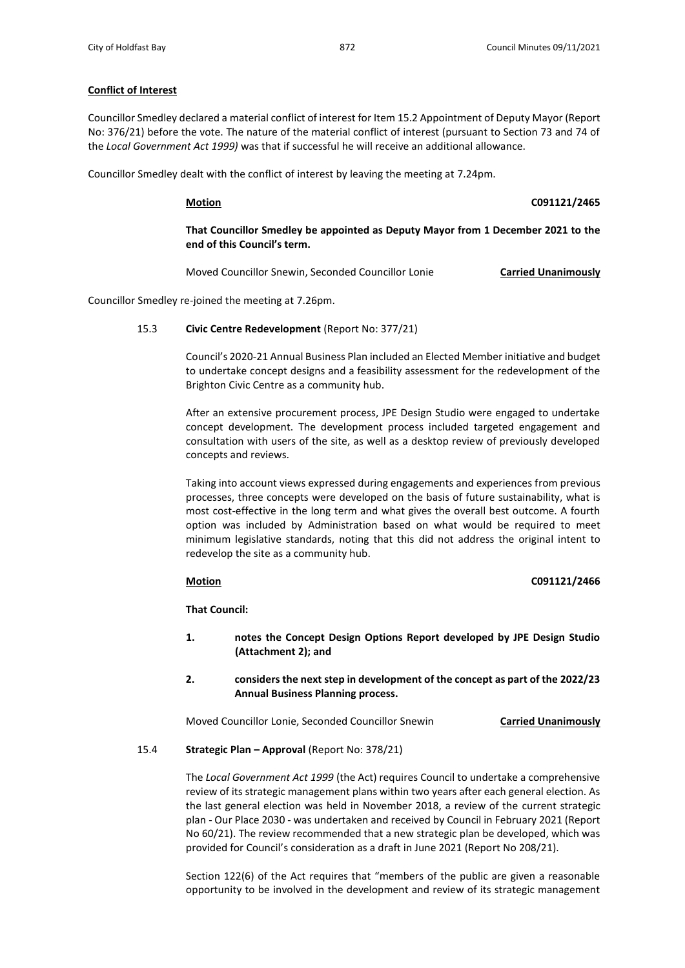# **Conflict of Interest**

Councillor Smedley declared a material conflict of interest for Item 15.2 Appointment of Deputy Mayor (Report No: 376/21) before the vote. The nature of the material conflict of interest (pursuant to Section 73 and 74 of the *Local Government Act 1999)* was that if successful he will receive an additional allowance.

Councillor Smedley dealt with the conflict of interest by leaving the meeting at 7.24pm.

**Motion C091121/2465**

**That Councillor Smedley be appointed as Deputy Mayor from 1 December 2021 to the end of this Council's term.**

Moved Councillor Snewin, Seconded Councillor Lonie **Carried Unanimously**

Councillor Smedley re-joined the meeting at 7.26pm.

## 15.3 **Civic Centre Redevelopment** (Report No: 377/21)

Council's 2020-21 Annual Business Plan included an Elected Member initiative and budget to undertake concept designs and a feasibility assessment for the redevelopment of the Brighton Civic Centre as a community hub.

After an extensive procurement process, JPE Design Studio were engaged to undertake concept development. The development process included targeted engagement and consultation with users of the site, as well as a desktop review of previously developed concepts and reviews.

Taking into account views expressed during engagements and experiences from previous processes, three concepts were developed on the basis of future sustainability, what is most cost-effective in the long term and what gives the overall best outcome. A fourth option was included by Administration based on what would be required to meet minimum legislative standards, noting that this did not address the original intent to redevelop the site as a community hub.

## **Motion C091121/2466**

**That Council:**

- **1. notes the Concept Design Options Report developed by JPE Design Studio (Attachment 2); and**
- **2. considers the next step in development of the concept as part of the 2022/23 Annual Business Planning process.**

Moved Councillor Lonie, Seconded Councillor Snewin **Carried Unanimously**

## 15.4 **Strategic Plan – Approval** (Report No: 378/21)

The *Local Government Act 1999* (the Act) requires Council to undertake a comprehensive review of its strategic management plans within two years after each general election. As the last general election was held in November 2018, a review of the current strategic plan - Our Place 2030 - was undertaken and received by Council in February 2021 (Report No 60/21). The review recommended that a new strategic plan be developed, which was provided for Council's consideration as a draft in June 2021 (Report No 208/21).

Section 122(6) of the Act requires that "members of the public are given a reasonable opportunity to be involved in the development and review of its strategic management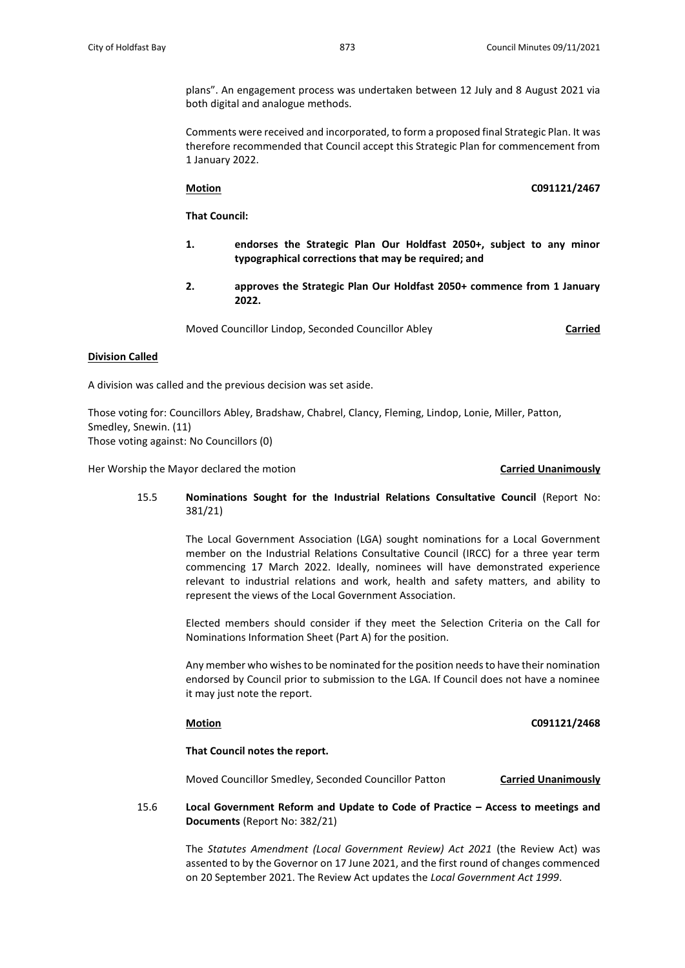plans". An engagement process was undertaken between 12 July and 8 August 2021 via both digital and analogue methods.

Comments were received and incorporated, to form a proposed final Strategic Plan. It was therefore recommended that Council accept this Strategic Plan for commencement from 1 January 2022.

**Motion C091121/2467**

**That Council:**

- **1. endorses the Strategic Plan Our Holdfast 2050+, subject to any minor typographical corrections that may be required; and**
- **2. approves the Strategic Plan Our Holdfast 2050+ commence from 1 January 2022.**

Moved Councillor Lindop, Seconded Councillor Abley **Carried** 

# **Division Called**

A division was called and the previous decision was set aside.

Those voting for: Councillors Abley, Bradshaw, Chabrel, Clancy, Fleming, Lindop, Lonie, Miller, Patton, Smedley, Snewin. (11) Those voting against: No Councillors (0)

Her Worship the Mayor declared the motion **Carried Unanimously**

15.5 **Nominations Sought for the Industrial Relations Consultative Council** (Report No: 381/21)

> The Local Government Association (LGA) sought nominations for a Local Government member on the Industrial Relations Consultative Council (IRCC) for a three year term commencing 17 March 2022. Ideally, nominees will have demonstrated experience relevant to industrial relations and work, health and safety matters, and ability to represent the views of the Local Government Association.

> Elected members should consider if they meet the Selection Criteria on the Call for Nominations Information Sheet (Part A) for the position.

> Any member who wishes to be nominated for the position needs to have their nomination endorsed by Council prior to submission to the LGA. If Council does not have a nominee it may just note the report.

# **Motion C091121/2468**

**That Council notes the report.**

Moved Councillor Smedley, Seconded Councillor Patton **Carried Unanimously**

# 15.6 **Local Government Reform and Update to Code of Practice – Access to meetings and Documents** (Report No: 382/21)

The *Statutes Amendment (Local Government Review) Act 2021* (the Review Act) was assented to by the Governor on 17 June 2021, and the first round of changes commenced on 20 September 2021. The Review Act updates the *Local Government Act 1999*.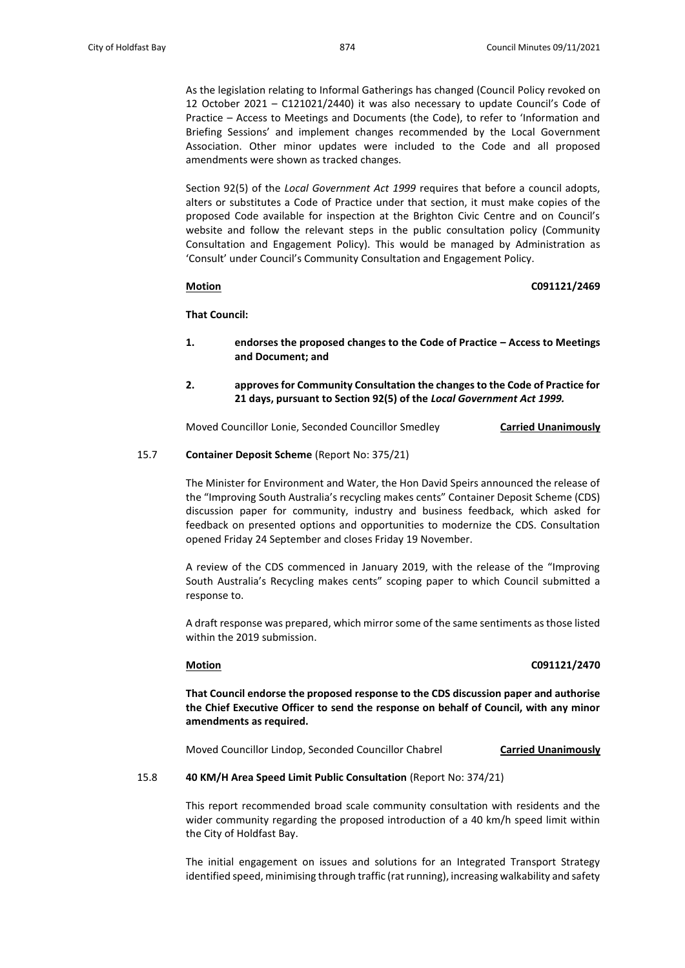As the legislation relating to Informal Gatherings has changed (Council Policy revoked on 12 October 2021 – C121021/2440) it was also necessary to update Council's Code of Practice – Access to Meetings and Documents (the Code), to refer to 'Information and Briefing Sessions' and implement changes recommended by the Local Government Association. Other minor updates were included to the Code and all proposed amendments were shown as tracked changes.

Section 92(5) of the *Local Government Act 1999* requires that before a council adopts, alters or substitutes a Code of Practice under that section, it must make copies of the proposed Code available for inspection at the Brighton Civic Centre and on Council's website and follow the relevant steps in the public consultation policy (Community Consultation and Engagement Policy). This would be managed by Administration as 'Consult' under Council's Community Consultation and Engagement Policy.

# **Motion C091121/2469**

**That Council:**

- **1. endorses the proposed changes to the Code of Practice – Access to Meetings and Document; and**
- **2. approves for Community Consultation the changes to the Code of Practice for 21 days, pursuant to Section 92(5) of the** *Local Government Act 1999.*

Moved Councillor Lonie, Seconded Councillor Smedley **Carried Unanimously**

### 15.7 **Container Deposit Scheme** (Report No: 375/21)

The Minister for Environment and Water, the Hon David Speirs announced the release of the "Improving South Australia's recycling makes cents" Container Deposit Scheme (CDS) discussion paper for community, industry and business feedback, which asked for feedback on presented options and opportunities to modernize the CDS. Consultation opened Friday 24 September and closes Friday 19 November.

A review of the CDS commenced in January 2019, with the release of the "Improving South Australia's Recycling makes cents" scoping paper to which Council submitted a response to.

A draft response was prepared, which mirror some of the same sentiments as those listed within the 2019 submission.

## **Motion C091121/2470**

**That Council endorse the proposed response to the CDS discussion paper and authorise the Chief Executive Officer to send the response on behalf of Council, with any minor amendments as required.**

Moved Councillor Lindop, Seconded Councillor Chabrel **Carried Unanimously**

### 15.8 **40 KM/H Area Speed Limit Public Consultation** (Report No: 374/21)

This report recommended broad scale community consultation with residents and the wider community regarding the proposed introduction of a 40 km/h speed limit within the City of Holdfast Bay.

The initial engagement on issues and solutions for an Integrated Transport Strategy identified speed, minimising through traffic (rat running), increasing walkability and safety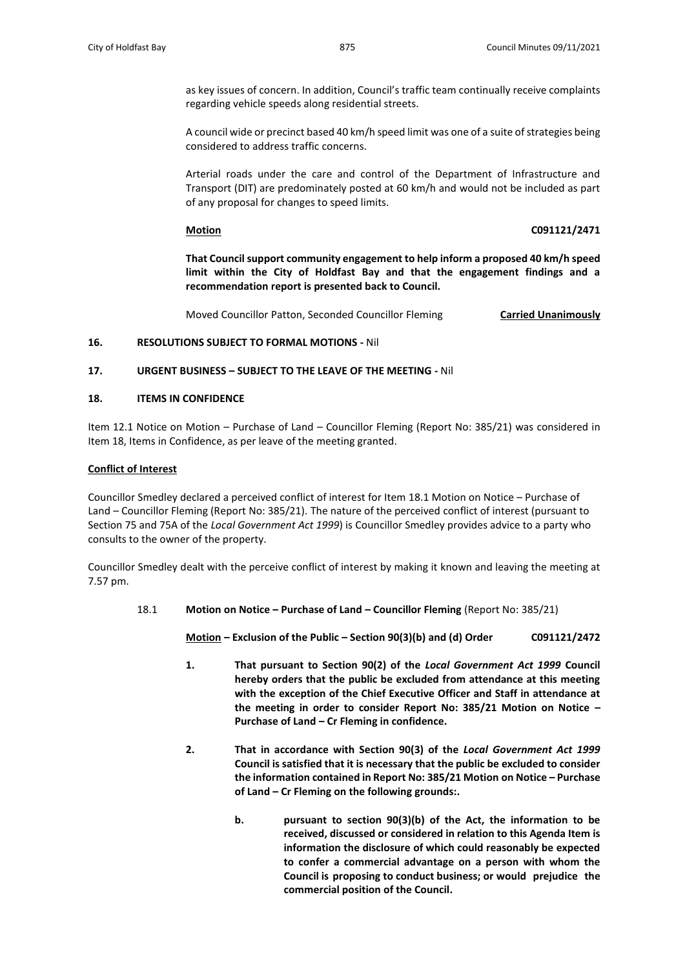as key issues of concern. In addition, Council's traffic team continually receive complaints regarding vehicle speeds along residential streets.

A council wide or precinct based 40 km/h speed limit was one of a suite of strategies being considered to address traffic concerns.

Arterial roads under the care and control of the Department of Infrastructure and Transport (DIT) are predominately posted at 60 km/h and would not be included as part of any proposal for changes to speed limits.

### **Motion C091121/2471**

**That Council support community engagement to help inform a proposed 40 km/h speed limit within the City of Holdfast Bay and that the engagement findings and a recommendation report is presented back to Council.**

Moved Councillor Patton, Seconded Councillor Fleming **Carried Unanimously**

## **16. RESOLUTIONS SUBJECT TO FORMAL MOTIONS -** Nil

## **17. URGENT BUSINESS – SUBJECT TO THE LEAVE OF THE MEETING -** Nil

# **18. ITEMS IN CONFIDENCE**

Item 12.1 Notice on Motion – Purchase of Land – Councillor Fleming (Report No: 385/21) was considered in Item 18, Items in Confidence, as per leave of the meeting granted.

# **Conflict of Interest**

Councillor Smedley declared a perceived conflict of interest for Item 18.1 Motion on Notice – Purchase of Land – Councillor Fleming (Report No: 385/21). The nature of the perceived conflict of interest (pursuant to Section 75 and 75A of the *Local Government Act 1999*) is Councillor Smedley provides advice to a party who consults to the owner of the property.

Councillor Smedley dealt with the perceive conflict of interest by making it known and leaving the meeting at 7.57 pm.

18.1 **Motion on Notice – Purchase of Land – Councillor Fleming** (Report No: 385/21)

**Motion – Exclusion of the Public – Section 90(3)(b) and (d) Order C091121/2472**

- **1. That pursuant to Section 90(2) of the** *Local Government Act 1999* **Council hereby orders that the public be excluded from attendance at this meeting with the exception of the Chief Executive Officer and Staff in attendance at the meeting in order to consider Report No: 385/21 Motion on Notice – Purchase of Land – Cr Fleming in confidence.**
- **2. That in accordance with Section 90(3) of the** *Local Government Act 1999*  **Council is satisfied that it is necessary that the public be excluded to consider the information contained in Report No: 385/21 Motion on Notice – Purchase of Land – Cr Fleming on the following grounds:.**
	- **b. pursuant to section 90(3)(b) of the Act, the information to be received, discussed or considered in relation to this Agenda Item is information the disclosure of which could reasonably be expected to confer a commercial advantage on a person with whom the Council is proposing to conduct business; or would prejudice the commercial position of the Council.**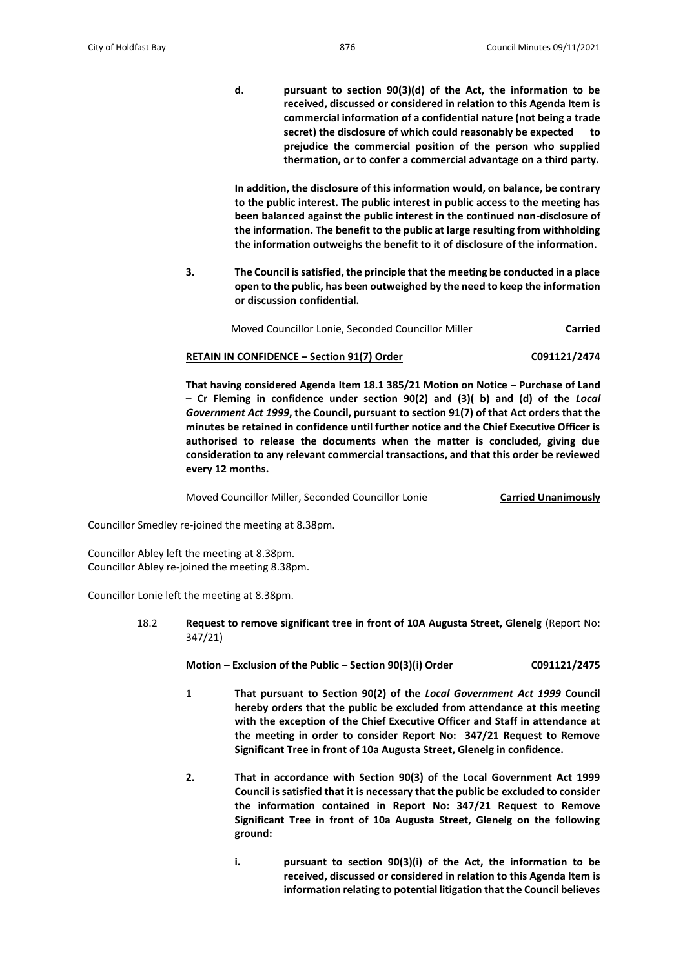**d. pursuant to section 90(3)(d) of the Act, the information to be received, discussed or considered in relation to this Agenda Item is commercial information of a confidential nature (not being a trade secret) the disclosure of which could reasonably be expected to prejudice the commercial position of the person who supplied thermation, or to confer a commercial advantage on a third party.**

**In addition, the disclosure of this information would, on balance, be contrary to the public interest. The public interest in public access to the meeting has been balanced against the public interest in the continued non-disclosure of the information. The benefit to the public at large resulting from withholding the information outweighs the benefit to it of disclosure of the information.**

**3. The Council is satisfied, the principle that the meeting be conducted in a place open to the public, has been outweighed by the need to keep the information or discussion confidential.**

Moved Councillor Lonie, Seconded Councillor Miller **Carried**

### **RETAIN IN CONFIDENCE – Section 91(7) Order C091121/2474**

**That having considered Agenda Item 18.1 385/21 Motion on Notice – Purchase of Land – Cr Fleming in confidence under section 90(2) and (3)( b) and (d) of the** *Local Government Act 1999***, the Council, pursuant to section 91(7) of that Act orders that the minutes be retained in confidence until further notice and the Chief Executive Officer is authorised to release the documents when the matter is concluded, giving due consideration to any relevant commercial transactions, and that this order be reviewed every 12 months.**

Moved Councillor Miller, Seconded Councillor Lonie **Carried Unanimously**

Councillor Smedley re-joined the meeting at 8.38pm.

Councillor Abley left the meeting at 8.38pm. Councillor Abley re-joined the meeting 8.38pm.

Councillor Lonie left the meeting at 8.38pm.

18.2 **Request to remove significant tree in front of 10A Augusta Street, Glenelg** (Report No: 347/21)

**Motion – Exclusion of the Public – Section 90(3)(i) Order C091121/2475**

- **1 That pursuant to Section 90(2) of the** *Local Government Act 1999* **Council hereby orders that the public be excluded from attendance at this meeting with the exception of the Chief Executive Officer and Staff in attendance at the meeting in order to consider Report No: 347/21 Request to Remove Significant Tree in front of 10a Augusta Street, Glenelg in confidence.**
- **2. That in accordance with Section 90(3) of the Local Government Act 1999 Council is satisfied that it is necessary that the public be excluded to consider the information contained in Report No: 347/21 Request to Remove Significant Tree in front of 10a Augusta Street, Glenelg on the following ground:**
	- **i. pursuant to section 90(3)(i) of the Act, the information to be received, discussed or considered in relation to this Agenda Item is information relating to potential litigation that the Council believes**